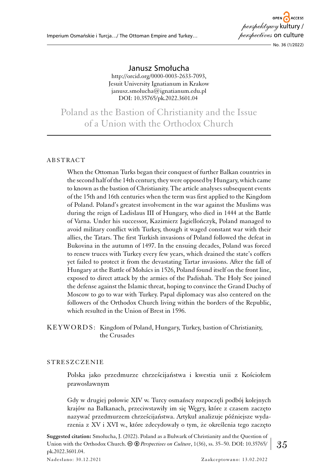# Janusz Smołucha

http://orcid.org/0000-0003-2633-7093, Jesuit University Ignatianum in Krakow janusz.smolucha@ignatianum.edu.pl DOI: 10.35765/pk.2022.3601.04

Poland as the Bastion of Christianity and the Issue of a Union with the Orthodox Church

## ABSTRACT

When the Ottoman Turks began their conquest of further Balkan countries in the second half of the 14th century, they were opposed by Hungary, which came to known as the bastion of Christianity. The article analyses subsequent events of the 15th and 16th centuries when the term was first applied to the Kingdom of Poland. Poland's greatest involvement in the war against the Muslims was during the reign of Ladislaus III of Hungary, who died in 1444 at the Battle of Varna. Under his successor, Kazimierz Jagiellończyk, Poland managed to avoid military conflict with Turkey, though it waged constant war with their allies, the Tatars. The first Turkish invasions of Poland followed the defeat in Bukovina in the autumn of 1497. In the ensuing decades, Poland was forced to renew truces with Turkey every few years, which drained the state's coffers yet failed to protect it from the devastating Tartar invasions. After the fall of Hungary at the Battle of Mohács in 1526, Poland found itself on the front line, exposed to direct attack by the armies of the Padishah. The Holy See joined the defense against the Islamic threat, hoping to convince the Grand Duchy of Moscow to go to war with Turkey. Papal diplomacy was also centered on the followers of the Orthodox Church living within the borders of the Republic, which resulted in the Union of Brest in 1596.

## KEYWORDS: Kingdom of Poland, Hungary, Turkey, bastion of Christianity, the Crusades

## Streszczenie

Polska jako przedmurze chrześcijaństwa i kwestia unii z Kościołem prawosławnym

Gdy w drugiej połowie XIV w. Turcy osmańscy rozpoczęli podbój kolejnych krajów na Bałkanach, przeciwstawiły im się Węgry, które z czasem zaczęto nazywać przedmurzem chrześcijaństwa. Artykuł analizuje późniejsze wydarzenia z XV i XVI w., które zdecydowały o tym, że określenia tego zaczęto

Union with the Orthodox Church.  $\circledast$   $\circledast$  *Perspectives on Culture*, 1(36), ss. 35–50. DOI: 10.35765/  $|$   $|35$ **Suggested citation:** Smołucha, J. (2022). Poland as a Bulwark of Christianity and the Question of pk.2022.3601.04.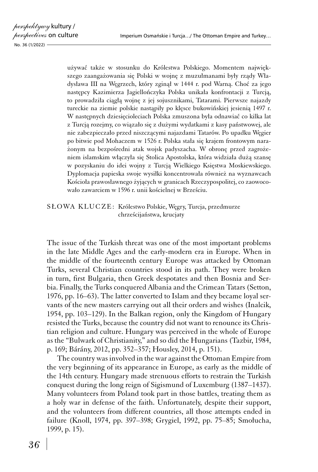używać także w stosunku do Królestwa Polskiego. Momentem największego zaangażowania się Polski w wojnę z muzułmanami były rządy Władysława III na Węgrzech, który zginął w 1444 r. pod Warną. Choć za jego następcy Kazimierza Jagiellończyka Polska unikała konfrontacji z Turcją, to prowadziła ciągłą wojnę z jej sojusznikami, Tatarami. Pierwsze najazdy tureckie na ziemie polskie nastąpiły po klęsce bukowińskiej jesienią 1497 r. W następnych dziesięcioleciach Polska zmuszona była odnawiać co kilka lat z Turcją rozejmy, co wiązało się z dużymi wydatkami z kasy państwowej, ale nie zabezpieczało przed niszczącymi najazdami Tatarów. Po upadku Węgier po bitwie pod Mohaczem w 1526 r. Polska stała się krajem frontowym narażonym na bezpośredni atak wojsk padyszacha. W obronę przed zagrożeniem islamskim włączyła się Stolica Apostolska, która widziała dużą szansę w pozyskaniu do idei wojny z Turcją Wielkiego Księstwa Moskiewskiego. Dyplomacja papieska swoje wysiłki koncentrowała również na wyznawcach Kościoła prawosławnego żyjących w granicach Rzeczypospolitej, co zaowocowało zawarciem w 1596 r. unii kościelnej w Brześciu.

SŁOWA KLUCZE: Królestwo Polskie, Węgry, Turcja, przedmurze chrześcijaństwa, krucjaty

The issue of the Turkish threat was one of the most important problems in the late Middle Ages and the early‑modern era in Europe. When in the middle of the fourteenth century Europe was attacked by Ottoman Turks, several Christian countries stood in its path. They were broken in turn, first Bulgaria, then Greek despotates and then Bosnia and Serbia. Finally, the Turks conquered Albania and the Crimean Tatars (Setton, 1976, pp. 16–63). The latter converted to Islam and they became loyal servants of the new masters carrying out all their orders and wishes (Inalcik, 1954, pp. 103–129). In the Balkan region, only the Kingdom of Hungary resisted the Turks, because the country did not want to renounce its Christian religion and culture. Hungary was perceived in the whole of Europe as the "Bulwark of Christianity," and so did the Hungarians (Tazbir, 1984, p. 169; Bárány, 2012, pp. 352–357; Housley, 2014, p. 151).

The country was involved in the war against the Ottoman Empire from the very beginning of its appearance in Europe, as early as the middle of the 14th century. Hungary made strenuous efforts to restrain the Turkish conquest during the long reign of Sigismund of Luxemburg (1387–1437). Many volunteers from Poland took part in those battles, treating them as a holy war in defense of the faith. Unfortunately, despite their support, and the volunteers from different countries, all those attempts ended in failure (Knoll, 1974, pp. 397–398; Grygiel, 1992, pp. 75–85; Smołucha, 1999, p. 15).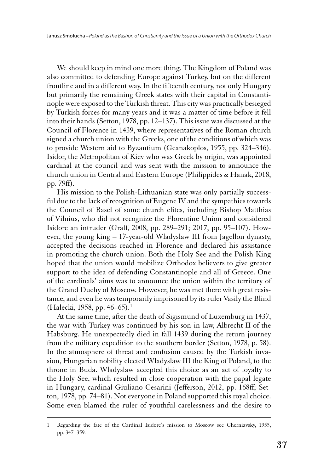We should keep in mind one more thing. The Kingdom of Poland was also committed to defending Europe against Turkey, but on the different frontline and in a different way. In the fifteenth century, not only Hungary but primarily the remaining Greek states with their capital in Constantinople were exposed to the Turkish threat. This city was practically besieged by Turkish forces for many years and it was a matter of time before it fell into their hands (Setton, 1978, pp. 12–137). This issue was discussed at the Council of Florence in 1439, where representatives of the Roman church signed a church union with the Greeks, one of the conditions of which was to provide Western aid to Byzantium (Geanakoplos, 1955, pp. 324–346). Isidor, the Metropolitan of Kiev who was Greek by origin, was appointed cardinal at the council and was sent with the mission to announce the church union in Central and Eastern Europe (Philippides & Hanak, 2018, pp. 79ff).

His mission to the Polish-Lithuanian state was only partially successful due to the lack of recognition of Eugene IV and the sympathies towards the Council of Basel of some church elites, including Bishop Matthias of Vilnius, who did not recognize the Florentine Union and considered Isidore an intruder (Graff, 2008, pp. 289–291; 2017, pp. 95–107). However, the young king – 17-year-old Wladyslaw III from Jagellon dynasty, accepted the decisions reached in Florence and declared his assistance in promoting the church union. Both the Holy See and the Polish King hoped that the union would mobilize Orthodox believers to give greater support to the idea of defending Constantinople and all of Greece. One of the cardinals' aims was to announce the union within the territory of the Grand Duchy of Moscow. However, he was met there with great resistance, and even he was temporarily imprisoned by its ruler Vasily the Blind (Halecki, 1958, pp. 46–65). <sup>1</sup>

At the same time, after the death of Sigismund of Luxemburg in 1437, the war with Turkey was continued by his son‑in‑law, Albrecht II of the Habsburg. He unexpectedly died in fall 1439 during the return journey from the military expedition to the southern border (Setton, 1978, p. 58). In the atmosphere of threat and confusion caused by the Turkish invasion, Hungarian nobility elected Wladyslaw III the King of Poland, to the throne in Buda. Wladyslaw accepted this choice as an act of loyalty to the Holy See, which resulted in close cooperation with the papal legate in Hungary, cardinal Giuliano Cesarini (Jefferson, 2012, pp. 168ff; Setton, 1978, pp. 74–81). Not everyone in Poland supported this royal choice. Some even blamed the ruler of youthful carelessness and the desire to

<sup>1</sup> Regarding the fate of the Cardinal Isidore's mission to Moscow see Cherniavsky, 1955, pp. 347–359.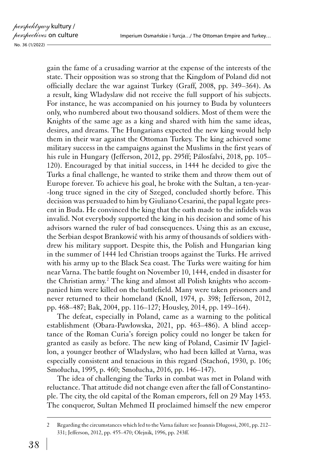gain the fame of a crusading warrior at the expense of the interests of the state. Their opposition was so strong that the Kingdom of Poland did not officially declare the war against Turkey (Graff, 2008, pp. 349–364). As a result, king Wladyslaw did not receive the full support of his subjects. For instance, he was accompanied on his journey to Buda by volunteers only, who numbered about two thousand soldiers. Most of them were the Knights of the same age as a king and shared with him the same ideas, desires, and dreams. The Hungarians expected the new king would help them in their war against the Ottoman Turkey. The king achieved some military success in the campaigns against the Muslims in the first years of his rule in Hungary (Jefferson, 2012, pp. 295ff; Pálosfalvi, 2018, pp. 105– 120). Encouraged by that initial success, in 1444 he decided to give the Turks a final challenge, he wanted to strike them and throw them out of Europe forever. To achieve his goal, he broke with the Sultan, a ten‑yearlong truce signed in the city of Szeged, concluded shortly before. This decision was persuaded to him by Giuliano Cesarini, the papal legate present in Buda. He convinced the king that the oath made to the infidels was invalid. Not everybody supported the king in his decision and some of his advisors warned the ruler of bad consequences. Using this as an excuse, the Serbian despot Brankowić with his army of thousands of soldiers withdrew his military support. Despite this, the Polish and Hungarian king in the summer of 1444 led Christian troops against the Turks. He arrived with his army up to the Black Sea coast. The Turks were waiting for him near Varna. The battle fought on November 10, 1444, ended in disaster for the Christian army.<sup>2</sup> The king and almost all Polish knights who accompanied him were killed on the battlefield. Many were taken prisoners and never returned to their homeland (Knoll, 1974, p. 398; Jefferson, 2012, pp. 468–487; Bak, 2004, pp. 116–127; Housley, 2014, pp. 149–164).

The defeat, especially in Poland, came as a warning to the political establishment (Obara-Pawłowska, 2021, pp. 463–486). A blind acceptance of the Roman Curia's foreign policy could no longer be taken for granted as easily as before. The new king of Poland, Casimir IV Jagiellon, a younger brother of Wladyslaw, who had been killed at Varna, was especially consistent and tenacious in this regard (Stachoń, 1930, p. 106; Smołucha, 1995, p. 460; Smołucha, 2016, pp. 146–147).

The idea of challenging the Turks in combat was met in Poland with reluctance. That attitude did not change even after the fall of Constantinople. The city, the old capital of the Roman emperors, fell on 29 May 1453. The conqueror, Sultan Mehmed II proclaimed himself the new emperor

<sup>2</sup> Regarding the circumstances which led to the Varna failure see Joannis Dlugossi, 2001, pp. 212– 331; Jefferson, 2012, pp. 455–470; Olejnik, 1996, pp. 243ff.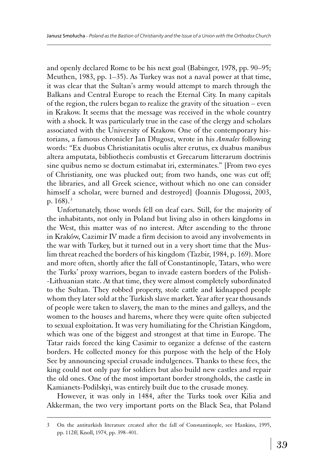and openly declared Rome to be his next goal (Babinger, 1978, pp. 90–95; Meuthen, 1983, pp. 1–35). As Turkey was not a naval power at that time, it was clear that the Sultan's army would attempt to march through the Balkans and Central Europe to reach the Eternal City. In many capitals of the region, the rulers began to realize the gravity of the situation – even in Krakow. It seems that the message was received in the whole country with a shock. It was particularly true in the case of the clergy and scholars associated with the University of Krakow. One of the contemporary historians, a famous chronicler Jan Długosz, wrote in his *Annales* following words: "Ex duobus Christianitatis oculis alter erutus, ex duabus manibus altera amputata, bibliothecis combustis et Grecarum litterarum doctrinis sine quibus nemo se doctum estimabat iri, exterminates." [From two eyes of Christianity, one was plucked out; from two hands, one was cut off; the libraries, and all Greek science, without which no one can consider himself a scholar, were burned and destroyed] (Joannis Dlugossi, 2003, p.  $168$ ).<sup>3</sup>

Unfortunately, those words fell on deaf ears. Still, for the majority of the inhabitants, not only in Poland but living also in others kingdoms in the West, this matter was of no interest. After ascending to the throne in Kraków, Cazimir IV made a firm decision to avoid any involvements in the war with Turkey, but it turned out in a very short time that the Muslim threat reached the borders of his kingdom (Tazbir, 1984, p. 169). More and more often, shortly after the fall of Constantinople, Tatars, who were the Turks' proxy warriors, began to invade eastern borders of the Polish-Lithuanian state. At that time, they were almost completely subordinated to the Sultan. They robbed property, stole cattle and kidnapped people whom they later sold at the Turkish slave market. Year after year thousands of people were taken to slavery, the man to the mines and galleys, and the women to the houses and harems, where they were quite often subjected to sexual exploitation. It was very humiliating for the Christian Kingdom, which was one of the biggest and strongest at that time in Europe. The Tatar raids forced the king Casimir to organize a defense of the eastern borders. He collected money for this purpose with the help of the Holy See by announcing special crusade indulgences. Thanks to these fees, the king could not only pay for soldiers but also build new castles and repair the old ones. One of the most important border strongholds, the castle in Kamianets-Podilskyi, was entirely built due to the crusade money.

However, it was only in 1484, after the Turks took over Kilia and Akkerman, the two very important ports on the Black Sea, that Poland

<sup>3</sup> On the antiturkish literature created after the fall of Constantinople, see Hankins, 1995, pp. 112ff; Knoll, 1974, pp. 398–401.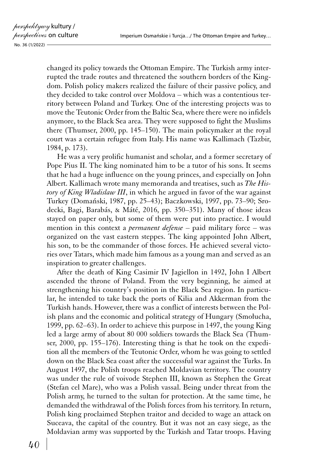changed its policy towards the Ottoman Empire. The Turkish army interrupted the trade routes and threatened the southern borders of the Kingdom. Polish policy makers realized the failure of their passive policy, and they decided to take control over Moldova – which was a contentious territory between Poland and Turkey. One of the interesting projects was to move the Teutonic Order from the Baltic Sea, where there were no infidels anymore, to the Black Sea area. They were supposed to fight the Muslims there (Thumser, 2000, pp. 145–150). The main policymaker at the royal court was a certain refugee from Italy. His name was Kallimach (Tazbir, 1984, p. 173).

He was a very prolific humanist and scholar, and a former secretary of Pope Pius II. The king nominated him to be a tutor of his sons. It seems that he had a huge influence on the young princes, and especially on John Albert. Kallimach wrote many memoranda and treatises, such as *The History of King Wladislaw III*, in which he argued in favor of the war against Turkey (Domański, 1987, pp. 25–43); Baczkowski, 1997, pp. 73–90; Srodecki, Bagi, Barabás, & Máté, 2016, pp. 350–351). Many of those ideas stayed on paper only, but some of them were put into practice. I would mention in this context a *permanent defense* – paid military force – was organized on the vast eastern steppes. The king appointed John Albert, his son, to be the commander of those forces. He achieved several victories over Tatars, which made him famous as a young man and served as an inspiration to greater challenges.

After the death of King Casimir IV Jagiellon in 1492, John I Albert ascended the throne of Poland. From the very beginning, he aimed at strengthening his country's position in the Black Sea region. In particular, he intended to take back the ports of Kilia and Akkerman from the Turkish hands. However, there was a conflict of interests between the Polish plans and the economic and political strategy of Hungary (Smołucha, 1999, pp. 62–63). In order to achieve this purpose in 1497, the young King led a large army of about 80 000 soldiers towards the Black Sea (Thumser, 2000, pp. 155–176). Interesting thing is that he took on the expedition all the members of the Teutonic Order, whom he was going to settled down on the Black Sea coast after the successful war against the Turks. In August 1497, the Polish troops reached Moldavian territory. The country was under the rule of voivode Stephen III, known as Stephen the Great (Stefan cel Mare), who was a Polish vassal. Being under threat from the Polish army, he turned to the sultan for protection. At the same time, he demanded the withdrawal of the Polish forces from his territory. In return, Polish king proclaimed Stephen traitor and decided to wage an attack on Suceava, the capital of the country. But it was not an easy siege, as the Moldavian army was supported by the Turkish and Tatar troops. Having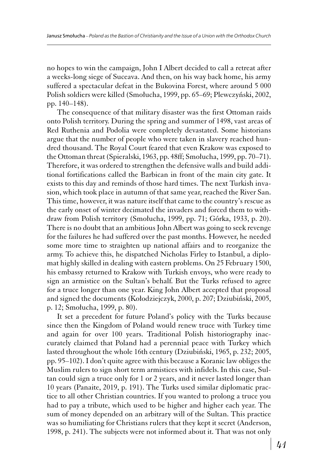no hopes to win the campaign, John I Albert decided to call a retreat after a weeks‑long siege of Suceava. And then, on his way back home, his army suffered a spectacular defeat in the Bukovina Forest, where around 5 000 Polish soldiers were killed (Smołucha, 1999, pp. 65–69; Plewczyński, 2002, pp. 140–148).

The consequence of that military disaster was the first Ottoman raids onto Polish territory. During the spring and summer of 1498, vast areas of Red Ruthenia and Podolia were completely devastated. Some historians argue that the number of people who were taken in slavery reached hundred thousand. The Royal Court feared that even Krakow was exposed to the Ottoman threat (Spieralski, 1963, pp. 48ff; Smołucha, 1999, pp. 70–71). Therefore, it was ordered to strengthen the defensive walls and build additional fortifications called the Barbican in front of the main city gate. It exists to this day and reminds of those hard times. The next Turkish invasion, which took place in autumn of that same year, reached the River San. This time, however, it was nature itself that came to the country's rescue as the early onset of winter decimated the invaders and forced them to withdraw from Polish territory (Smołucha, 1999, pp. 71; Górka, 1933, p. 20). There is no doubt that an ambitious John Albert was going to seek revenge for the failures he had suffered over the past months. However, he needed some more time to straighten up national affairs and to reorganize the army. To achieve this, he dispatched Nicholas Firley to Istanbul, a diplomat highly skilled in dealing with eastern problems. On 25 February 1500, his embassy returned to Krakow with Turkish envoys, who were ready to sign an armistice on the Sultan's behalf. But the Turks refused to agree for a truce longer than one year. King John Albert accepted that proposal and signed the documents (Kołodziejczyk, 2000, p. 207; Dziubiński, 2005, p. 12; Smołucha, 1999, p. 80).

It set a precedent for future Poland's policy with the Turks because since then the Kingdom of Poland would renew truce with Turkey time and again for over 100 years. Traditional Polish historiography inaccurately claimed that Poland had a perennial peace with Turkey which lasted throughout the whole 16th century (Dziubiński, 1965, p. 232; 2005, pp. 95–102). I don't quite agree with this because a Koranic law obliges the Muslim rulers to sign short term armistices with infidels. In this case, Sultan could sign a truce only for 1 or 2 years, and it never lasted longer than 10 years (Panaite, 2019, p. 191). The Turks used similar diplomatic practice to all other Christian countries. If you wanted to prolong a truce you had to pay a tribute, which used to be higher and higher each year. The sum of money depended on an arbitrary will of the Sultan. This practice was so humiliating for Christians rulers that they kept it secret (Anderson, 1998, p. 241). The subjects were not informed about it. That was not only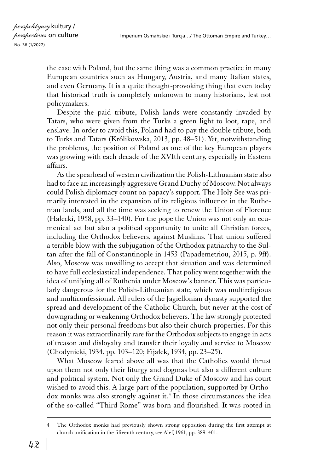the case with Poland, but the same thing was a common practice in many European countries such as Hungary, Austria, and many Italian states, and even Germany. It is a quite thought-provoking thing that even today that historical truth is completely unknown to many historians, lest not policymakers.

Despite the paid tribute, Polish lands were constantly invaded by Tatars, who were given from the Turks a green light to loot, rape, and enslave. In order to avoid this, Poland had to pay the double tribute, both to Turks and Tatars (Królikowska, 2013, pp. 48–51). Yet, notwithstanding the problems, the position of Poland as one of the key European players was growing with each decade of the XVIth century, especially in Eastern affairs.

As the spearhead of western civilization the Polish-Lithuanian state also had to face an increasingly aggressive Grand Duchy of Moscow. Not always could Polish diplomacy count on papacy's support. The Holy See was primarily interested in the expansion of its religious influence in the Ruthenian lands, and all the time was seeking to renew the Union of Florence (Halecki, 1958, pp. 33–140). For the pope the Union was not only an ecumenical act but also a political opportunity to unite all Christian forces, including the Orthodox believers, against Muslims. That union suffered a terrible blow with the subjugation of the Orthodox patriarchy to the Sultan after the fall of Constantinople in 1453 (Papademetriou, 2015, p. 9ff). Also, Moscow was unwilling to accept that situation and was determined to have full ecclesiastical independence. That policy went together with the idea of unifying all of Ruthenia under Moscow's banner. This was particularly dangerous for the Polish-Lithuanian state, which was multireligious and multiconfessional. All rulers of the Jagiellonian dynasty supported the spread and development of the Catholic Church, but never at the cost of downgrading or weakening Orthodox believers. The law strongly protected not only their personal freedoms but also their church properties. For this reason it was extraordinarily rare for the Orthodox subjects to engage in acts of treason and disloyalty and transfer their loyalty and service to Moscow (Chodynicki, 1934, pp. 103–120; Fijałek, 1934, pp. 23–25).

What Moscow feared above all was that the Catholics would thrust upon them not only their liturgy and dogmas but also a different culture and political system. Not only the Grand Duke of Moscow and his court wished to avoid this. A large part of the population, supported by Orthodox monks was also strongly against it.<sup>4</sup> In those circumstances the idea of the so‑called "Third Rome" was born and flourished. It was rooted in

The Orthodox monks had previously shown strong opposition during the first attempt at church unification in the fifteenth century, see Alef, 1961, pp. 389–401.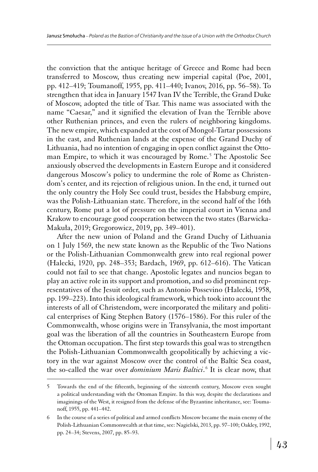the conviction that the antique heritage of Greece and Rome had been transferred to Moscow, thus creating new imperial capital (Poe, 2001, pp. 412–419; Toumanoff, 1955, pp. 411–440; Ivanov, 2016, pp. 56–58). To strengthen that idea in January 1547 Ivan IV the Terrible, the Grand Duke of Moscow, adopted the title of Tsar. This name was associated with the name "Caesar," and it signified the elevation of Ivan the Terrible above other Ruthenian princes, and even the rulers of neighboring kingdoms. The new empire, which expanded at the cost of Mongol-Tartar possessions in the east, and Ruthenian lands at the expense of the Grand Duchy of Lithuania, had no intention of engaging in open conflict against the Ottoman Empire, to which it was encouraged by Rome.<sup>5</sup> The Apostolic See anxiously observed the developments in Eastern Europe and it considered dangerous Moscow's policy to undermine the role of Rome as Christendom's center, and its rejection of religious union. In the end, it turned out the only country the Holy See could trust, besides the Habsburg empire, was the Polish-Lithuanian state. Therefore, in the second half of the 16th century, Rome put a lot of pressure on the imperial court in Vienna and Krakow to encourage good cooperation between the two states (Barwicka-Makuła, 2019; Gregorowicz, 2019, pp. 349–401).

After the new union of Poland and the Grand Duchy of Lithuania on 1 July 1569, the new state known as the Republic of the Two Nations or the Polish-Lithuanian Commonwealth grew into real regional power (Halecki, 1920, pp. 248–353; Bardach, 1969, pp. 612–616). The Vatican could not fail to see that change. Apostolic legates and nuncios began to play an active role in its support and promotion, and so did prominent representatives of the Jesuit order, such as Antonio Possevino (Halecki, 1958, pp. 199–223). Into this ideological framework, which took into account the interests of all of Christendom, were incorporated the military and political enterprises of King Stephen Batory (1576–1586). For this ruler of the Commonwealth, whose origins were in Transylvania, the most important goal was the liberation of all the countries in Southeastern Europe from the Ottoman occupation. The first step towards this goal was to strengthen the Polish-Lithuanian Commonwealth geopolitically by achieving a victory in the war against Moscow over the control of the Baltic Sea coast, the so-called the war over *dominium Maris Baltici*.<sup>6</sup> It is clear now, that

<sup>5</sup> Towards the end of the fifteenth, beginning of the sixteenth century, Moscow even sought a political understanding with the Ottoman Empire. In this way, despite the declarations and imaginings of the West, it resigned from the defense of the Byzantine inheritance, see: Toumanoff, 1955, pp. 441–442.

<sup>6</sup> In the course of a series of political and armed conflicts Moscow became the main enemy of the Polish-Lithuanian Commonwealth at that time, see: Nagielski, 2013, pp. 97–100; Oakley, 1992, pp. 24–34; Stevens, 2007, pp. 85–93.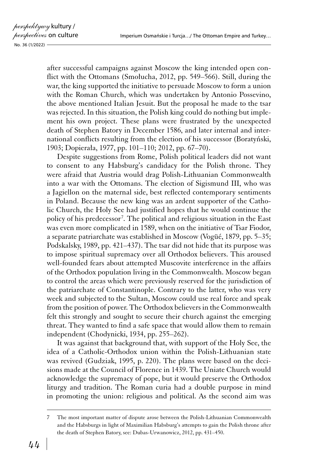after successful campaigns against Moscow the king intended open conflict with the Ottomans (Smołucha, 2012, pp. 549–566). Still, during the war, the king supported the initiative to persuade Moscow to form a union with the Roman Church, which was undertaken by Antonio Possevino, the above mentioned Italian Jesuit. But the proposal he made to the tsar was rejected. In this situation, the Polish king could do nothing but implement his own project. These plans were frustrated by the unexpected death of Stephen Batory in December 1586, and later internal and international conflicts resulting from the election of his successor (Boratyński, 1903; Dopierała, 1977, pp. 101–110; 2012, pp. 67–70).

Despite suggestions from Rome, Polish political leaders did not want to consent to any Habsburg's candidacy for the Polish throne. They were afraid that Austria would drag Polish-Lithuanian Commonwealth into a war with the Ottomans. The election of Sigismund III, who was a Jagiellon on the maternal side, best reflected contemporary sentiments in Poland. Because the new king was an ardent supporter of the Catholic Church, the Holy See had justified hopes that he would continue the policy of his predecessor<sup>7</sup>. The political and religious situation in the East was even more complicated in 1589, when on the initiative of Tsar Fiodor, a separate patriarchate was established in Moscow (Vogüé, 1879, pp. 5–35; Podskalsky, 1989, pp. 421–437). The tsar did not hide that its purpose was to impose spiritual supremacy over all Orthodox believers. This aroused well-founded fears about attempted Muscovite interference in the affairs of the Orthodox population living in the Commonwealth. Moscow began to control the areas which were previously reserved for the jurisdiction of the patriarchate of Constantinople. Contrary to the latter, who was very week and subjected to the Sultan, Moscow could use real force and speak from the position of power. The Orthodox believers in the Commonwealth felt this strongly and sought to secure their church against the emerging threat. They wanted to find a safe space that would allow them to remain independent (Chodynicki, 1934, pp. 255–262).

It was against that background that, with support of the Holy See, the idea of a Catholic-Orthodox union within the Polish-Lithuanian state was revived (Gudziak, 1995, p. 220). The plans were based on the decisions made at the Council of Florence in 1439. The Uniate Church would acknowledge the supremacy of pope, but it would preserve the Orthodox liturgy and tradition. The Roman curia had a double purpose in mind in promoting the union: religious and political. As the second aim was

<sup>7</sup> The most important matter of dispute arose between the Polish-Lithuanian Commonwealth and the Habsburgs in light of Maximilian Habsburg's attempts to gain the Polish throne after the death of Stephen Batory, see: Dubas-Urwanowicz, 2012, pp. 431–450.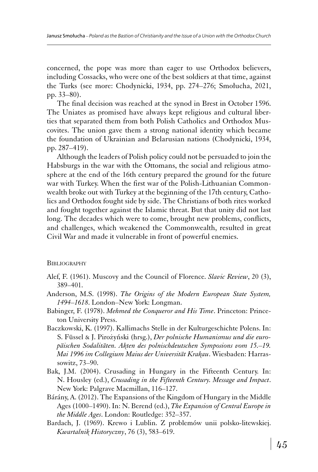concerned, the pope was more than eager to use Orthodox believers, including Cossacks, who were one of the best soldiers at that time, against the Turks (see more: Chodynicki, 1934, pp. 274–276; Smołucha, 2021, pp. 33–80).

The final decision was reached at the synod in Brest in October 1596. The Uniates as promised have always kept religious and cultural liberties that separated them from both Polish Catholics and Orthodox Muscovites. The union gave them a strong national identity which became the foundation of Ukrainian and Belarusian nations (Chodynicki, 1934, pp. 287–419).

Although the leaders of Polish policy could not be persuaded to join the Habsburgs in the war with the Ottomans, the social and religious atmosphere at the end of the 16th century prepared the ground for the future war with Turkey. When the first war of the Polish-Lithuanian Commonwealth broke out with Turkey at the beginning of the 17th century, Catholics and Orthodox fought side by side. The Christians of both rites worked and fought together against the Islamic threat. But that unity did not last long. The decades which were to come, brought new problems, conflicts, and challenges, which weakened the Commonwealth, resulted in great Civil War and made it vulnerable in front of powerful enemies.

## **BIBLIOGRAPHY**

- Alef, F. (1961). Muscovy and the Council of Florence. *Slavic Review*, 20 (3), 389–401.
- Anderson, M.S. (1998). *The Origins of the Modern European State System, 1494–1618*. London–New York: Longman.
- Babinger, F. (1978). *Mehmed the Conqueror and His Time*. Princeton: Princeton University Press.
- Baczkowski, K. (1997). Kallimachs Stelle in der Kulturgeschichte Polens. In: S. Füssel & J. Pirożyński (hrsg.), *Der polnische Humanismus und die europäischen Sodalitäten. Akten des polnischdeutschen Symposions vom 15.–19. Mai 1996 im Collegium Maius der Universität Krakau*. Wiesbaden: Harrassowitz, 73–90.
- Bak, J.M. (2004). Crusading in Hungary in the Fifteenth Century. In: N. Housley (ed.), *Crusading in the Fifteenth Century. Message and Impact*. New York: Palgrave Macmillan, 116–127.
- Bárány, A. (2012). The Expansions of the Kingdom of Hungary in the Middle Ages (1000–1490). In: N. Berend (ed.), *The Expansion of Central Europe in the Middle Ages*. London: Routledge: 352–357.
- Bardach, J. (1969). Krewo i Lublin. Z problemów unii polsko-litewskiej. *Kwartalnik Historyczny*, 76 (3), 583–619.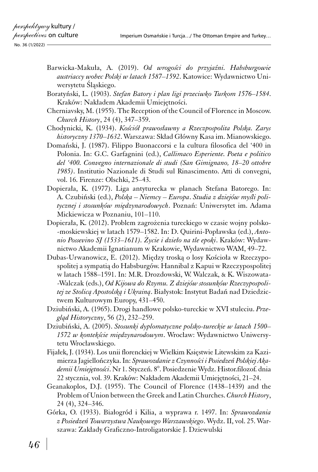- Barwicka-Makuła, A. (2019). *Od wrogości do przyjaźni. Habsburgowie austriaccy wobec Polski w latach 1587–1592*. Katowice: Wydawnictwo Uniwersytetu Śląskiego.
- Boratyński, L. (1903). *Stefan Batory i plan ligi przeciwko Turkom 1576–1584*. Kraków: Nakładem Akademii Umiejętności.
- Cherniavsky, M. (1955). The Reception of the Council of Florence in Moscow. *Church History*, 24 (4), 347–359.
- Chodynicki, K. (1934). *Kościół prawosławny a Rzeczpospolita Polska. Zarys historyczny 1370–1632*. Warszawa: Skład Główny Kasa im. Mianowskiego.
- Domański, J. (1987). Filippo Buonaccorsi e la cultura filosofica del '400 in Polonia. In: G.C. Garfagnini (ed.), *Callimaco Esperiente. Poeta e politico del '400. Convegno internazionale di studi (San Gimignano, 18–20 ottobre 1985)*. Institutio Nazionale di Studi sul Rinascimento. Atti di convegni, vol. 16. Firenze: Olschki, 25–43.
- Dopierała, K. (1977). Liga antyturecka w planach Stefana Batorego. In: A. Czubiński (ed.), *Polska – Niemcy – Europa*. *Studia z dziejów myśli politycznej i stosunków międzynarodowych*. Poznań: Uniwersytet im. Adama Mickiewicza w Poznaniu, 101–110.
- Dopierała, K. (2012). Problem zagrożenia tureckiego w czasie wojny polskomoskiewskiej w latach 1579–1582. In: D. Quirini-Popławska (ed.), *Antonio Possevino SJ (1533–1611). Życie i dzieło na tle epoki*. Kraków: Wydawnictwo Akademii Ignatianum w Krakowie, Wydawnictwo WAM, 49–72.
- Dubas-Urwanowicz, E. (2012). Między troską o losy Kościoła w Rzeczypospolitej a sympatią do Habsburgów. Hannibal z Kapui w Rzeczypospolitej w latach 1588–1591. In: M.R. Drozdowski, W. Walczak, & K. Wiszowata- -Walczak (eds.), *Od Kijowa do Rzymu. Z dziejów stosunków Rzeczypospolitej ze Stolicą Apostolską i Ukrainą*. Białystok: Instytut Badań nad Dziedzictwem Kulturowym Europy, 431–450.
- Dziubiński, A. (1965). Drogi handlowe polsko‑tureckie w XVI stuleciu. *Przegląd Historyczny*, 56 (2), 232–259.
- Dziubiński, A. (2005). *Stosunki dyplomatyczne polsko‑tureckie w latach 1500– 1572 w kontekście międzynarodowym*. Wrocław: Wydawnictwo Uniwersytetu Wrocławskiego.
- Fijałek, J. (1934). Los unii florenckiej w Wielkim Księstwie Litewskim za Kazimierza Jagiellończyka. In: *Sprawozdanie z Czynności i Posiedzeń Polskiej Akademii Umiejętności*. Nr 1. Styczeń. 8°. Posiedzenie Wydz. Histor.filozof. dnia 22 stycznia, vol. 39. Kraków: Nakładem Akademii Umiejętności, 21–24.
- Geanakoplos, D.J. (1955). The Council of Florence (1438–1439) and the Problem of Union between the Greek and Latin Churches. *Church History*, 24 (4), 324–346.
- Górka, O. (1933). Białogród i Kilia, a wyprawa r. 1497. In: *Sprawozdania z Posiedzeń Towarzystwa Naukowego Warszawskiego*. Wydz. II, vol. 25. Warszawa: Zakłady Graficzno-Introligatorskie J. Dziewulski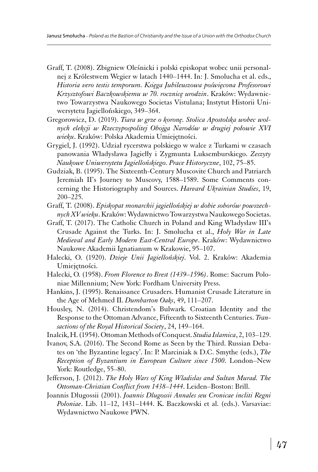- Graff, T. (2008). Zbigniew Oleśnicki i polski episkopat wobec unii personalnej z Królestwem Wegier w latach 1440–1444. In: J. Smolucha et al. eds., *Historia vero testis temporum. Księga Jubileuszowa poświęcona Profesorowi Krzysztofowi Baczkowskiemu w 70. rocznicę urodzin*. Kraków: Wydawnictwo Towarzystwa Naukowego Societas Vistulana; Instytut Historii Uniwersytetu Jagiellońskiego, 349–364.
- Gregorowicz, D. (2019). *Tiara w grze o koronę. Stolica Apostolska wobec wolnych elekcji w Rzeczypospolitej Obojga Narodów w drugiej połowie XVI wieku*. Kraków: Polska Akademia Umiejętności.
- Grygiel, J. (1992). Udział rycerstwa polskiego w walce z Turkami w czasach panowania Władysława Jagiełły i Zygmunta Luksemburskiego. *Zeszyty Naukowe Uniwersytetu Jagiellońskiego. Prace Historyczne*, 102, 75–85.
- Gudziak, B. (1995). The Sixteenth-Century Muscovite Church and Patriarch Jeremiah II's Journey to Muscovy, 1588–1589. Some Comments concerning the Historiography and Sources. *Harvard Ukrainian Studies*, 19, 200–225.
- Graff, T. (2008). *Episkopat monarchii jagiellońskiej w dobie soborów powszechnych XV wieku*. Kraków: Wydawnictwo Towarzystwa Naukowego Societas.
- Graff, T. (2017). The Catholic Church in Poland and King Władysław III's Crusade Against the Turks. In: J. Smolucha et al., *Holy War in Late Medieval and Early Modern East-Central Europe*. Kraków: Wydawnictwo Naukowe Akademii Ignatianum w Krakowie, 95–107.
- Halecki, O. (1920). *Dzieje Unii Jagiellońskiej*. Vol. 2. Kraków: Akademia Umiejętności.
- Halecki, O. (1958). *From Florence to Brest (1439–1596)*. Rome: Sacrum Poloniae Millennium; New York: Fordham University Press.
- Hankins, J. (1995). Renaissance Crusaders. Humanist Crusade Literature in the Age of Mehmed II. *Dumbarton Oaks*, 49, 111–207.
- Housley, N. (2014). Christendom's Bulwark. Croatian Identity and the Response to the Ottoman Advance, Fifteenth to Sixteenth Centuries. *Transactions of the Royal Historical Society*, 24, 149–164.
- Inalcik, H. (1954). Ottoman Methods of Conquest. *Studia Islamica*, 2, 103–129.
- Ivanov, S.A. (2016). The Second Rome as Seen by the Third. Russian Debates on 'the Byzantine legacy'. In: P. Marciniak & D.C. Smythe (eds.), *The Reception of Byzantium in European Culture since 1500*. London–New York: Routledge, 55–80.
- Jefferson, J. (2012). *The Holy Wars of King Wladislas and Sultan Murad. The Ottoman-Christian Conflict from 1438–1444*. Leiden–Boston: Brill.
- Joannis Dlugossii (2001). *Joannis Dlugossii Annales seu Cronicae incliti Regni Poloniae*. Lib. 11–12, 1431–1444. K. Baczkowski et al. (eds.). Varsaviae: Wydawnictwo Naukowe PWN.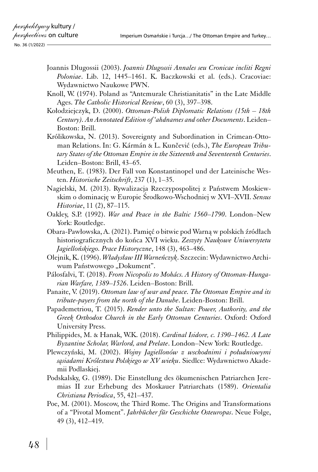- Joannis Dlugossii (2003). *Joannis Dlugossii Annales seu Cronicae incliti Regni Poloniae*. Lib. 12, 1445–1461. K. Baczkowski et al. (eds.). Cracoviae: Wydawnictwo Naukowe PWN.
- Knoll, W. (1974). Poland as "Antemurale Christianitatis" in the Late Middle Ages. *The Catholic Historical Review*, 60 (3), 397–398.
- Kołodziejczyk, D. (2000). *Ottoman-Polish Diplomatic Relations (15th 18th Century). An Annotated Edition of 'ahdnames and other Documents*. Leiden– Boston: Brill.
- Królikowska, N. (2013). Sovereignty and Subordination in Crimean-Ottoman Relations. In: G. Kármán & L. Kunčević (eds.), *The European Tributary States of the Ottoman Empire in the Sixteenth and Seventeenth Centuries*. Leiden–Boston: Brill, 43–65.
- Meuthen, E. (1983). Der Fall von Konstantinopel und der Lateinische Westen. *Historische Zeitschrift*, 237 (1), 1–35.
- Nagielski, M. (2013). Rywalizacja Rzeczypospolitej z Państwem Moskiewskim o dominację w Europie Środkowo-Wschodniej w XVI–XVII. *Sensus Historiae*, 11 (2), 87–115.
- Oakley, S.P. (1992). *War and Peace in the Baltic 1560–1790*. London–New York: Routledge.
- Obara-Pawłowska, A. (2021). Pamięć o bitwie pod Warną w polskich źródłach historiograficznych do końca XVI wieku. *Zeszyty Naukowe Uniwersytetu Jagiellońskiego. Prace Historyczne*, 148 (3), 463–486.
- Olejnik, K. (1996). *Władysław III Warneńczyk*. Szczecin: Wydawnictwo Archiwum Państwowego "Dokument".
- Pálosfalvi, T. (2018). *From Nicopolis to Mohács. A History of Ottoman-Hungarian Warfare, 1389–1526*. Leiden–Boston: Brill.
- Panaite, V. (2019). *Ottoman law of war and peace. The Ottoman Empire and its tribute‑payers from the north of the Danube*. Leiden-Boston: Brill.
- Papademetriou, T. (2015). *Render unto the Sultan: Power, Authority, and the Greek Orthodox Church in the Early Ottoman Centuries*. Oxford: Oxford University Press.
- Philippides, M. & Hanak, W.K. (2018). *Cardinal Isidore, c. 1390–1462. A Late Byzantine Scholar, Warlord, and Prelate*. London–New York: Routledge.
- Plewczyński, M. (2002). *Wojny Jagiellonów z wschodnimi i południowymi sąsiadami Królestwa Polskiego w XV wieku*. Siedlce: Wydawnictwo Akademii Podlaskiej.
- Podskalsky, G. (1989). Die Einstellung des ökumenischen Patriarchen Jeremias II zur Erhebung des Moskauer Patriarchats (1589). *Orientalia Christiana Periodica*, 55, 421–437.
- Poe, M. (2001). Moscow, the Third Rome. The Origins and Transformations of a "Pivotal Moment". *Jahrbücher für Geschichte Osteuropas*. Neue Folge, 49 (3), 412–419.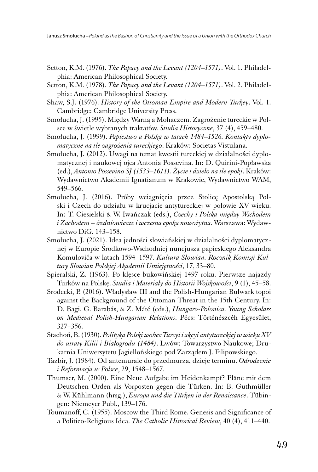- Setton, K.M. (1976). *The Papacy and the Levant (1204–1571)*. Vol. 1. Philadelphia: American Philosophical Society.
- Setton, K.M. (1978). *The Papacy and the Levant (1204–1571)*. Vol. 2. Philadelphia: American Philosophical Society.
- Shaw, S.J. (1976). *History of the Ottoman Empire and Modern Turkey*. Vol. 1. Cambridge: Cambridge University Press.
- Smołucha, J. (1995). Między Warną a Mohaczem. Zagrożenie tureckie w Polsce w świetle wybranych traktatów. *Studia Historyczne*, 37 (4), 459–480.
- Smołucha, J. (1999). *Papiestwo a Polska w latach 1484–1526. Kontakty dyplomatyczne na tle zagrożenia tureckiego*. Kraków: Societas Vistulana.
- Smołucha, J. (2012). Uwagi na temat kwestii tureckiej w działalności dyplomatycznej i naukowej ojca Antonia Possevina. In: D. Quirini-Popławska (ed.), *Antonio Possevino SJ (1533–1611). Życie i dzieło na tle epoki*. Kraków: Wydawnictwo Akademii Ignatianum w Krakowie, Wydawnictwo WAM, 549–566.
- Smołucha, J. (2016). Próby wciągnięcia przez Stolicę Apostolską Polski i Czech do udziału w krucjacie antytureckiej w połowie XV wieku. In: T. Ciesielski & W. Iwańczak (eds.), *Czechy i Polska między Wschodem i Zachodem – średniowiecze i wczesna epoka nowożytna*. Warszawa: Wydawnictwo DiG, 143–158.
- Smołucha, J. (2021). Idea jedności słowiańskiej w działalności dyplomatycznej w Europie Środkowo-Wschodniej nuncjusza papieskiego Aleksandra Komulovića w latach 1594–1597. *Kultura Słowian. Rocznik Komisji Kultury Słowian Polskiej Akademii Umiejętności*, 17, 33–80.
- Spieralski, Z. (1963). Po klęsce bukowińskiej 1497 roku. Pierwsze najazdy Turków na Polskę. *Studia i Materiały do Historii Wojskowości*, 9 (1), 45–58.
- Srodecki, P. (2016). Władysław III and the Polish-Hungarian Bulwark topoi against the Background of the Ottoman Threat in the 15th Century. In: D. Bagi. G. Barabás, & Z. Máté (eds.), *Hungaro-Polonica. Young Scholars on Medieval Polish-Hungarian Relations*. Pécs: Történészcéh Egyesület, 327–356.
- Stachoń, B. (1930). *Polityka Polski wobec Turcyi i akcyi antytureckiej w wieku XV do utraty Kilii i Białogrodu (1484)*. Lwów: Towarzystwo Naukowe; Drukarnia Uniwersytetu Jagiellońskiego pod Zarządem J. Filipowskiego.
- Tazbir, J. (1984). Od antemurale do przedmurza, dzieje terminu. *Odrodzenie i Reformacja w Polsce*, 29, 1548–1567.
- Thumser, M. (2000). Eine Neue Aufgabe im Heidenkampf? Pläne mit dem Deutschen Orden als Vorposten gegen die Türken. In: B. Guthmüller & W. Kühlmann (hrsg.), *Europa und die Türken in der Renaissance*. Tübingen: Niemeyer Publ., 139–176.
- Toumanoff, C. (1955). Moscow the Third Rome. Genesis and Significance of a Politico-Religious Idea. *The Catholic Historical Review*, 40 (4), 411–440.